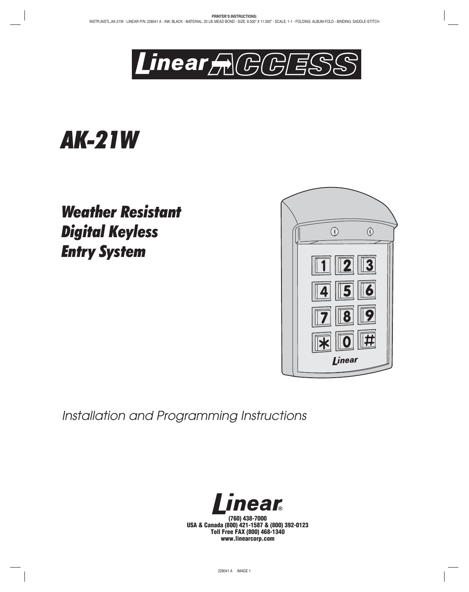

# **AK-21W**

**Weather Resistant Digital Keyless** *Digital Keyless Entry System*



*Installation and Programming Instructions*



**(760) 438-7000 USA & Canada (800) 421-1587 & (800) 392-0123 Toll Free FAX (800) 468-1340 www.linearcorp.com**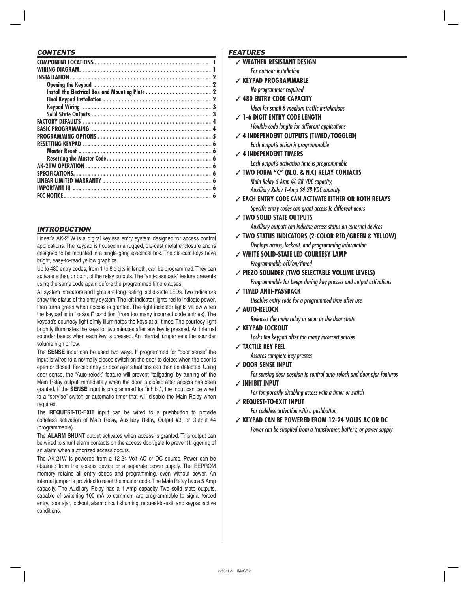#### *CONTENTS*

# *INTRODUCTION*

Linear's AK-21W is a digital keyless entry system designed for access control applications. The keypad is housed in a rugged, die-cast metal enclosure and is designed to be mounted in a single-gang electrical box. The die-cast keys have bright, easy-to-read yellow graphics.

Up to 480 entry codes, from 1 to 6 digits in length, can be programmed. They can activate either, or both, of the relay outputs. The "anti-passback" feature prevents using the same code again before the programmed time elapses.

All system indicators and lights are long-lasting, solid-state LEDs. Two indicators show the status of the entry system. The left indicator lights red to indicate power, then turns green when access is granted. The right indicator lights yellow when the keypad is in "lockout" condition (from too many incorrect code entries). The keypad's courtesy light dimly illuminates the keys at all times. The courtesy light brightly illuminates the keys for two minutes after any key is pressed. An internal sounder beeps when each key is pressed. An internal jumper sets the sounder volume high or low.

The **SENSE** input can be used two ways. If programmed for "door sense" the input is wired to a normally closed switch on the door to detect when the door is open or closed. Forced entry or door ajar situations can then be detected. Using door sense, the "Auto-relock" feature will prevent "tailgating" by turning off the Main Relay output immediately when the door is closed after access has been granted. If the **SENSE** input is programmed for "inhibit", the input can be wired to a "service" switch or automatic timer that will disable the Main Relay when required.

The **REQUEST-TO-EXIT** input can be wired to a pushbutton to provide codeless activation of Main Relay, Auxiliary Relay, Output #3, or Output #4 (programmable).

The **ALARM SHUNT** output activates when access is granted. This output can be wired to shunt alarm contacts on the access door/gate to prevent triggering of an alarm when authorized access occurs.

The AK-21W is powered from a 12-24 Volt AC or DC source. Power can be obtained from the access device or a separate power supply. The EEPROM memory retains all entry codes and programming, even without power. An internal jumper is provided to reset the master code. The Main Relay has a 5 Amp capacity. The Auxiliary Relay has a 1 Amp capacity. Two solid state outputs, capable of switching 100 mA to common, are programmable to signal forced entry, door ajar, lockout, alarm circuit shunting, request-to-exit, and keypad active conditions.

#### *FEATURES*

- ✓ **WEATHER RESISTANT DESIGN** *For outdoor installation*
	-
- ✓ **KEYPAD PROGRAMMABLE** *No programmer required*
- ✓ **480 ENTRY CODE CAPACITY** *Ideal for small & medium traffic installations*
- ✓ **1-6 DIGIT ENTRY CODE LENGTH** *Flexible code length for different applications*
- ✓ **4 INDEPENDENT OUTPUTS (TIMED/TOGGLED)** *Each output's action is programmable*

#### ✓ **4 INDEPENDENT TIMERS**

*Each output's activation time is programmable*

✓ **TWO FORM "C" (N.O. & N.C) RELAY CONTACTS** *Main Relay 5-Amp @ 28 VDC capacity, Auxiliary Relay 1-Amp @ 28 VDC capacity*

✓ **EACH ENTRY CODE CAN ACTIVATE EITHER OR BOTH RELAYS**

**Specific entry codes can grant access to different doors** 

- ✓ **TWO SOLID STATE OUTPUTS** *Auxiliary outputs can indicate access status on external devices*
- ✓ **TWO STATUS INDICATORS (2-COLOR RED/GREEN & YELLOW)** *Displays access, lockout, and programming information*
- ✓ **WHITE SOLID-STATE LED COURTESY LAMP** *Programmable off/on/timed*

✓ **PIEZO SOUNDER (TWO SELECTABLE VOLUME LEVELS)**

*Programmable for beeps during key presses and output activations* ✓ **TIMED ANTI-PASSBACK**

- *Disables entry code for a programmed time after use*
- ✓ **AUTO-RELOCK**

*Releases the main relay as soon as the door shuts*

✓ **KEYPAD LOCKOUT**

*Locks the keypad after too many incorrect entries*

✓ **TACTILE KEY FEEL**

*Assures complete key presses*

✓ **DOOR SENSE INPUT**

*For sensing door position to control auto-relock and door-ajar features*

✓ **INHIBIT INPUT**

*For temporarily disabling access with a timer or switch*

✓ **REQUEST-TO-EXIT INPUT**

*For codeless activation with a pushbutton*

✓ **KEYPAD CAN BE POWERED FROM 12-24 VOLTS AC OR DC**

*Power can be supplied from a transformer, battery, or power supply*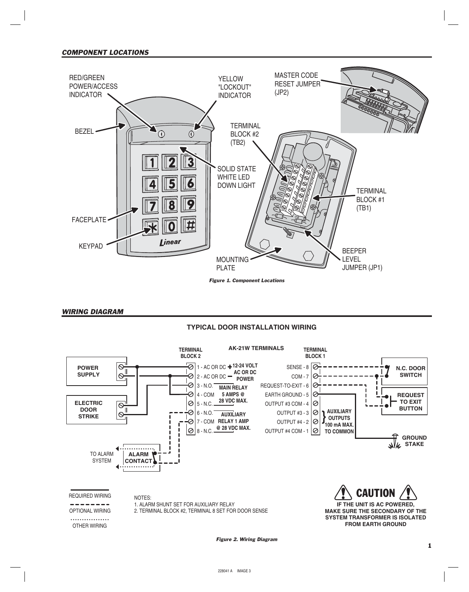

#### *WIRING DIAGRAM*

# **TYPICAL DOOR INSTALLATION WIRING**



*Figure 2. Wiring Diagram*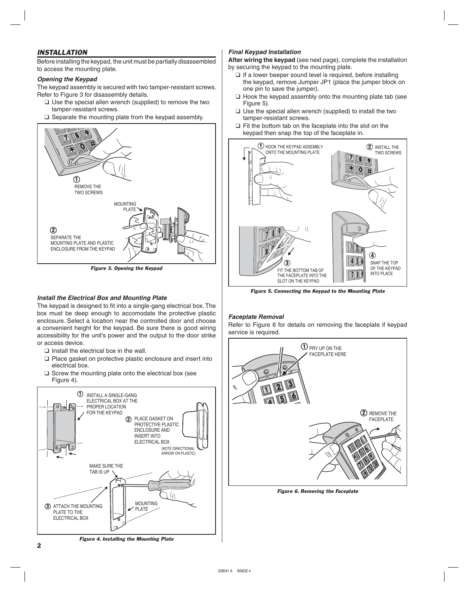# *INSTALLATION*

Before installing the keypad, the unit must be partially disassembled to access the mounting plate.

# *Opening the Keypad*

The keypad assembly is secured with two tamper-resistant screws. Refer to Figure 3 for disassembly details.

- ❑ Use the special allen wrench (supplied) to remove the two tamper-resistant screws.
- ❑ Separate the mounting plate from the keypad assembly.



*Figure 3. Opening the Keypad*

# *Install the Electrical Box and Mounting Plate*

The keypad is designed to fit into a single-gang electrical box. The box must be deep enough to accomodate the protective plastic enclosure. Select a location near the controlled door and choose a convenient height for the keypad. Be sure there is good wiring accessibility for the unit's power and the output to the door strike or access device.

- ❑ Install the electrical box in the wall.
- ❑ Place gasket on protective plastic enclosure and insert into electrical box.
- ❑ Screw the mounting plate onto the electrical box (see Figure 4).



# *Final Keypad Installation*

**After wiring the keypad** (see next page), complete the installation by securing the keypad to the mounting plate.

- ❑ If a lower beeper sound level is required, before installing the keypad, remove Jumper JP1 (place the jumper block on one pin to save the jumper).
- ❑ Hook the keypad assembly onto the mounting plate tab (see Figure 5).
- ❑ Use the special allen wrench (supplied) to install the two tamper-resistant screws.
- ❑ Fit the bottom tab on the faceplate into the slot on the keypad then snap the top of the faceplate in.



*Figure 5. Connecting the Keypad to the Mounting Plate*

# *Faceplate Removal*

Refer to Figure 6 for details on removing the faceplate if keypad service is required.



*Figure 6. Removing the Faceplate*

*Figure 4. Installing the Mounting Plate*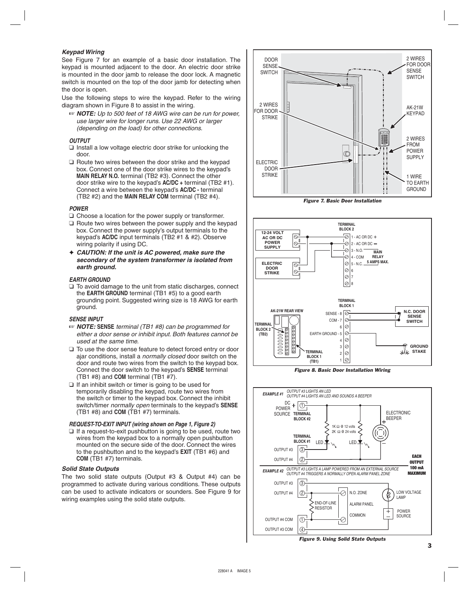#### *Keypad Wiring*

See Figure 7 for an example of a basic door installation. The keypad is mounted adjacent to the door. An electric door strike is mounted in the door jamb to release the door lock. A magnetic switch is mounted on the top of the door jamb for detecting when the door is open.

Use the following steps to wire the keypad. Refer to the wiring diagram shown in Figure 8 to assist in the wiring.

☞ *NOTE: Up to 500 feet of 18 AWG wire can be run for power, use larger wire for longer runs. Use 22 AWG or larger (depending on the load) for other connections.*

#### *OUTPUT*

- ❑ Install a low voltage electric door strike for unlocking the door.
- ❑ Route two wires between the door strike and the keypad box. Connect one of the door strike wires to the keypad's **MAIN RELAY N.O.** terminal (TB2 #3). Connect the other door strike wire to the keypad's **AC/DC +** terminal (TB2 #1). Connect a wire between the keypad's **AC/DC -** terminal (TB2 #2) and the **MAIN RELAY COM** terminal (TB2 #4).

#### *POWER*

- ❑ Choose a location for the power supply or transformer.
- ❑ Route two wires between the power supply and the keypad box. Connect the power supply's output terminals to the keypad's **AC/DC** input terminals (TB2 #1 & #2). Observe wiring polarity if using DC.
- ✦ *CAUTION: If the unit is AC powered, make sure the secondary of the system transformer is isolated from earth ground.*

#### *EARTH GROUND*

❑ To avoid damage to the unit from static discharges, connect the **EARTH GROUND** terminal (TB1 #5) to a good earth grounding point. Suggested wiring size is 18 AWG for earth ground.

#### *SENSE INPUT*

- ☞ *NOTE:* **SENSE** *terminal (TB1 #8) can be programmed for either a door sense or inhibit input. Both features cannot be used at the same time.*
- ❑ To use the door sense feature to detect forced entry or door ajar conditions, install a *normally closed* door switch on the door and route two wires from the switch to the keypad box. Connect the door switch to the keypad's **SENSE** terminal (TB1 #8) and **COM** terminal (TB1 #7).
- $\Box$  If an inhibit switch or timer is going to be used for temporarily disabling the keypad, route two wires from the switch or timer to the keypad box. Connect the inhibit switch/timer *normally open* terminals to the keypad's **SENSE** (TB1 #8) and **COM** (TB1 #7) terminals.

#### *REQUEST-TO-EXIT INPUT (wiring shown on Page 1, Figure 2)*

❑ If a request-to-exit pushbutton is going to be used, route two wires from the keypad box to a normally open pushbutton mounted on the secure side of the door. Connect the wires to the pushbutton and to the keypad's **EXIT** (TB1 #6) and **COM** (TB1 #7) terminals.

#### *Solid State Outputs*

The two solid state outputs (Output #3 & Output #4) can be programmed to activate during various conditions. These outputs can be used to activate indicators or sounders. See Figure 9 for wiring examples using the solid state outputs.



*Figure 7. Basic Door Installation*



*Figure 8. Basic Door Installation Wiring*



*Figure 9. Using Solid State Outputs*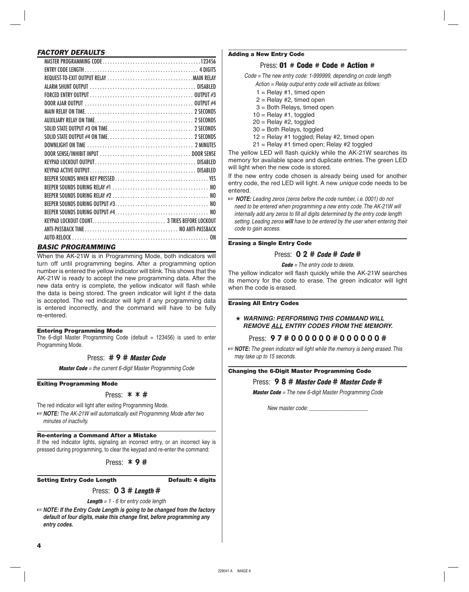#### *FACTORY DEFAULTS*

| 0N |
|----|
|    |

#### *BASIC PROGRAMMING*

When the AK-21W is in Programming Mode, both indicators will turn off until programming begins. After a programming option number is entered the yellow indicator will blink. This shows that the AK-21W is ready to accept the new programming data. After the new data entry is complete, the yellow indicator will flash while the data is being stored. The green indicator will light if the data is accepted. The red indicator will light if any programming data is entered incorrectly, and the command will have to be fully re-entered.

#### Entering Programming Mode

The 6-digit Master Programming Code (default  $= 123456$ ) is used to enter Programming Mode.

#### Press: **# 9 #** *Master Code*

*Master Code = the current 6-digit Master Programming Code*

#### Exiting Programming Mode

#### Press: \* \* **#**

The red indicator will light after exiting Programming Mode.

☞*NOTE: The AK-21W will automatically exit Programming Mode after two minutes of inactivity.*

#### Re-entering a Command After a Mistake

If the red indicator lights, signaling an incorrect entry, or an incorrect key is pressed during programming, to clear the keypad and re-enter the command:

Press: \* **9 #**

#### Setting Entry Code Length Default: 4 digits

# Press: **0 3 #** *Length* **#**

*Length = 1 - 6 for entry code length*

☞*NOTE: If the Entry Code Length is going to be changed from the factory default of four digits, make this change fi rst, before programming any entry codes.*

#### Adding a New Entry Code

#### Press: 01 # Code # Code # Action #

*Code = The new entry code: 1-999999, depending on code length*

*Action = Relay output entry code will activate as follows:*

- $1 =$  Relay #1, timed open
- $2 =$  Relay #2, timed open
- 3 = Both Relays, timed open
- $10 =$  Relay #1, toggled
- $20 =$ Relay #2, toggled
- 30 = Both Relays, toggled
- 12 = Relay #1 toggled; Relay #2, timed open
- 21 = Relay #1 timed open; Relay #2 toggled

The yellow LED will flash quickly while the AK-21W searches its memory for available space and duplicate entries. The green LED will light when the new code is stored.

If the new entry code chosen is already being used for another entry code, the red LED will light. A new *unique* code needs to be entered.

☞ *NOTE: Leading zeros (zeros before the code number, i.e. 0001) do not need to be entered when programming a new entry code. The AK-21W will internally add any zeros to fill all digits determined by the entry code length setting. Leading zeros will have to be entered by the user when entering their code to gain access.*

#### Erasing a Single Entry Code

#### Press: **0 2 #** *Code* **#** *Code* **#**

*Code = The entry code to delete.*

The yellow indicator will flash quickly while the AK-21W searches its memory for the code to erase. The green indicator will light when the code is erased.

#### Erasing All Entry Codes

★ *WARNING: PERFORMING THIS COMMAND WILL REMOVE ALL ENTRY CODES FROM THE MEMORY.*

#### Press: **9 7 # 0 0 0 0 0 0 # 0 0 0 0 0 0 #**

☞*NOTE: The green indicator will light while the memory is being erased. This may take up to 15 seconds.*

#### Changing the 6-Digit Master Programming Code

#### Press: **9 8 #** *Master Code* **#** *Master Code* **#**

*Master Code = The new 6-digit Master Programming Code*

*New master code: \_\_\_\_\_\_\_\_\_\_\_\_\_\_\_\_\_\_\_\_\_*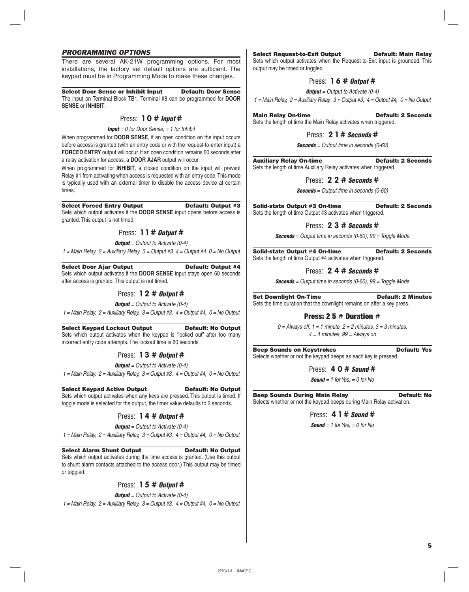### *PROGRAMMING OPTIONS*

There are several AK-21W programming options. For most installations, the factory set default options are sufficient. The keypad must be in Programming Mode to make these changes.

Select Door Sense or Inhibit Input Default: Door Sense

The input on Terminal Block TB1, Terminal #8 can be programmed for **DOOR SENSE** or **INHIBIT**.

# Press: **1 0 #** *Input* **#**

*Input = 0 for Door Sense, = 1 for Inhibit*

When programmed for **DOOR SENSE**, if an open condition on the input occurs before access is granted (with an entry code or with the request-to-enter input) a **FORCED ENTRY** output will occur. If an open condition remains 60 seconds after a relay activation for access, a **DOOR AJAR** output will occur.

When programmed for **INHIBIT**, a closed condition on the input will prevent Relay #1 from activating when access is requested with an entry code. This mode is typically used with an external timer to disable the access device at certain times.

#### Select Forced Entry Output **Default: Output #3**

Sets which output activates if the **DOOR SENSE** input opens before access is granted. This output is not timed.

### Press: **1 1 #** *Output* **#**

*Output = Output to Activate (0-4)*

*1 = Main Relay 2 = Auxiliary Relay 3 = Output #3 4 = Output #4 0 = No Output*

#### Select Door Ajar Output Default: Output #4

Sets which output activates if the **DOOR SENSE** input stays open 60 seconds after access is granted. This output is not timed.

### Press: **1 2 #** *Output* **#**

*Output = Output to Activate (0-4)*

*1 = Main Relay, 2 = Auxiliary Relay, 3 = Output #3, 4 = Output #4, 0 = No Output*

# Select Keypad Lockout Output Default: No Output

Sets which output activates when the keypad is "locked out" after too many incorrect entry code attempts. The lockout time is 60 seconds.

Press: **1 3 #** *Output* **#**

*Output = Output to Activate (0-4)*

*1 = Main Relay, 2 = Auxiliary Relay, 3 = Output #3, 4 = Output #4, 0 = No Output*

#### Select Keypad Active Output Default: No Output

Sets which output activates when any keys are pressed. This output is timed. If toggle mode is selected for the output, the timer value defaults to 2 seconds.

# Press: **1 4 #** *Output* **#**

*Output = Output to Activate (0-4)*

*1 = Main Relay, 2 = Auxiliary Relay, 3 = Output #3, 4 = Output #4, 0 = No Output*

Select Alarm Shunt Output Default: No Output Sets which output activates during the time access is granted. (Use this output to shunt alarm contacts attached to the access door.) This output may be timed or toggled.

# Press: **1 5 #** *Output* **#**

*Output = Output to Activate (0-4) 1 = Main Relay, 2 = Auxiliary Relay, 3 = Output #3, 4 = Output #4, 0 = No Output*

#### Select Request-to-Exit Output Default: Main Relay

Sets which output activates when the Request-to-Exit input is grounded. This output may be timed or toggled.

### Press: **1 6 #** *Output* **#**

*Output = Output to Activate (0-4)*

*1 = Main Relay, 2 = Auxiliary Relay, 3 = Output #3, 4 = Output #4, 0 = No Output*

Main Relay On-time **Default: 2 Seconds** Sets the length of time the Main Relay activates when triggered.

#### Press: **2 1 #** *Seconds* **#**

*Seconds = Output time in seconds (0-60)*

Auxiliary Relay On-time Default: 2 Seconds Sets the length of time Auxiliary Relay activates when triggered.

### Press: **2 2 #** *Seconds* **#**

*Seconds = Output time in seconds (0-60)*

Solid-state Output #3 On-time Default: 2 Seconds Sets the length of time Output #3 activates when triggered.

### Press: **2 3 #** *Seconds* **#**

*Seconds = Output time in seconds (0-60), 99 = Toggle Mode*

Solid-state Output #4 On-time Default: 2 Seconds Sets the length of time Output #4 activates when triggered.

### Press: **2 4 #** *Seconds* **#**

*Seconds = Output time in seconds (0-60), 99 = Toggle Mode*

Set Downlight On-Time Default: 2 Minutes Sets the time duration that the downlight remains on after a key press.

#### Press: 2 5 # Duration #

*0 = Always off, 1 = 1 minute, 2 = 2 minutes, 3 = 3 minutes, 4 = 4 minutes, 99 = Always on*

Beep Sounds on Keystrokes **Default: Yes** Selects whether or not the keypad beeps as each key is pressed.

#### Press: **4 0 #** *Sound* **#**

*Sound = 1 for Yes, = 0 for No*

Beep Sounds During Main Relay **Default: No** Selects whether or not the keypad beeps during Main Relay activation.

Press: **4 1 #** *Sound* **#**

*Sound = 1 for Yes, = 0 for No*